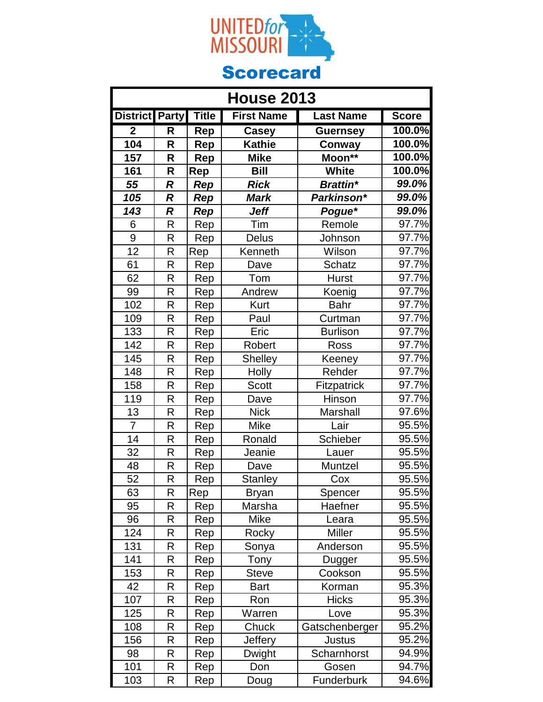

| <b>House 2013</b>       |              |              |                   |                  |                     |
|-------------------------|--------------|--------------|-------------------|------------------|---------------------|
| <b>District Party</b>   |              | <b>Title</b> | <b>First Name</b> | <b>Last Name</b> | <b>Score</b>        |
| $\overline{\mathbf{2}}$ | R            | Rep          | <b>Casey</b>      | <b>Guernsey</b>  | 100.0%              |
| 104                     | R            | Rep          | <b>Kathie</b>     | Conway           | 100.0%              |
| 157                     | R            | Rep          | <b>Mike</b>       | Moon**           | 100.0%              |
| 161                     | R            | Rep          | <b>Bill</b>       | <b>White</b>     | 100.0%              |
| 55                      | R            | Rep          | <b>Rick</b>       | <b>Brattin*</b>  | 99.0%               |
| 105                     | R            | Rep          | <b>Mark</b>       | Parkinson*       | 99.0%               |
| 143                     | R            | Rep          | Jeff              | Pogue*           | 99.0%               |
| 6                       | R            | Rep          | Tim               | Remole           | 97.7%               |
| 9                       | R            | Rep          | <b>Delus</b>      | Johnson          | 97.7%               |
| 12                      | R            | Rep          | Kenneth           | Wilson           | 97.7%               |
| 61                      | R            | Rep          | Dave              | Schatz           | 97.7%               |
| 62                      | R            | Rep          | Tom               | <b>Hurst</b>     | 97.7%               |
| 99                      | R            | Rep          | Andrew            | Koenig           | 97.7%               |
| 102                     | $\mathsf{R}$ | Rep          | Kurt              | <b>Bahr</b>      | 97.7%               |
| 109                     | R            | Rep          | Paul              | Curtman          | 97.7%               |
| 133                     | R            | Rep          | Eric              | <b>Burlison</b>  | 97.7%               |
| 142                     | R            | Rep          | Robert            | Ross             | $97.7\%$            |
| 145                     | R            | Rep          | <b>Shelley</b>    | Keeney           | 97.7%               |
| 148                     | R            | Rep          | Holly             | Rehder           | $97.7\%$            |
| 158                     | R            | Rep          | <b>Scott</b>      | Fitzpatrick      | 97.7%               |
| 119                     | $\mathsf{R}$ | Rep          | Dave              | Hinson           | 97.7%               |
| 13                      | R            | Rep          | <b>Nick</b>       | Marshall         | $97.\overline{6\%}$ |
| 7                       | R            | Rep          | <b>Mike</b>       | Lair             | 95.5%               |
| 14                      | R            | Rep          | Ronald            | Schieber         | 95.5%               |
| 32                      | $\mathsf{R}$ | Rep          | Jeanie            | Lauer            | 95.5%               |
| 48                      | R            | Rep          | Dave              | Muntzel          | 95.5%               |
| $\overline{52}$         | R            | Rep          | <b>Stanley</b>    | Cox              | 95.5%               |
| 63                      | R            | Rep          | <b>Bryan</b>      | Spencer          | 95.5%               |
| 95                      | R            | Rep          | Marsha            | Haefner          | 95.5%               |
| 96                      | R            | Rep          | Mike              | Leara            | 95.5%               |
| 124                     | R            | Rep          | Rocky             | Miller           | 95.5%               |
| 131                     | R            | Rep          | Sonya             | Anderson         | 95.5%               |
| 141                     | R            | Rep          | Tony              | Dugger           | 95.5%               |
| 153                     | R            | Rep          | Steve             | Cookson          | 95.5%               |
| 42                      | R            | Rep          | <b>Bart</b>       | Korman           | 95.3%               |
| 107                     | R            | Rep          | Ron               | <b>Hicks</b>     | 95.3%               |
| 125                     | R            | Rep          | Warren            | Love             | 95.3%               |
| 108                     | R            | Rep          | Chuck             | Gatschenberger   | 95.2%               |
| 156                     | R            | Rep          | <b>Jeffery</b>    | <b>Justus</b>    | 95.2%               |
| 98                      | R            | Rep          | <b>Dwight</b>     | Scharnhorst      | 94.9%               |
| 101                     | R            | Rep          | Don               | Gosen            | 94.7%               |
| 103                     | R            | Rep          | Doug              | Funderburk       | 94.6%               |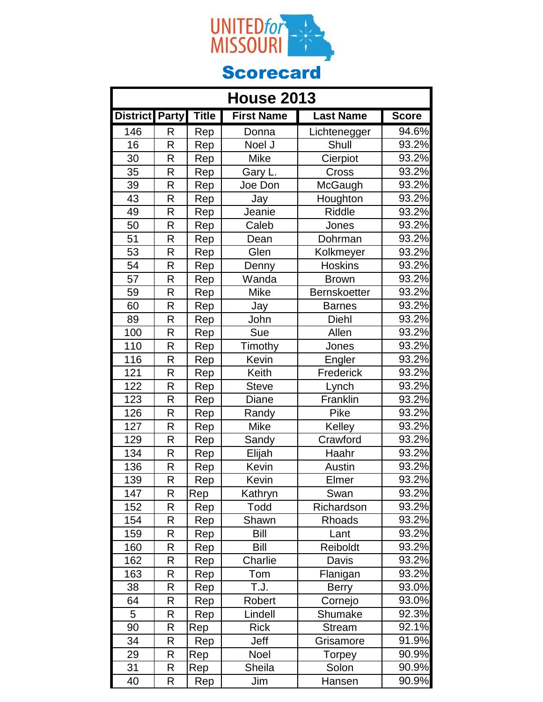

| <b>House 2013</b>     |              |              |                   |                     |                     |
|-----------------------|--------------|--------------|-------------------|---------------------|---------------------|
| <b>District Party</b> |              | <b>Title</b> | <b>First Name</b> | <b>Last Name</b>    | <b>Score</b>        |
| 146                   | R            | Rep          | Donna             | Lichtenegger        | 94.6%               |
| 16                    | R            | Rep          | Noel J            | Shull               | 93.2%               |
| 30                    | R            | Rep          | Mike              | Cierpiot            | 93.2%               |
| 35                    | R            | Rep          | Gary L.           | Cross               | 93.2%               |
| 39                    | R            | Rep          | Joe Don           | McGaugh             | 93.2%               |
| 43                    | R            | Rep          | Jay               | Houghton            | 93.2%               |
| 49                    | R            | Rep          | Jeanie            | <b>Riddle</b>       | 93.2%               |
| 50                    | R            | Rep          | Caleb             | Jones               | 93.2%               |
| 51                    | R            | Rep          | Dean              | Dohrman             | 93.2%               |
| 53                    | $\mathsf{R}$ | Rep          | Glen              | Kolkmeyer           | 93.2%               |
| $\overline{54}$       | R            | Rep          | Denny             | <b>Hoskins</b>      | 93.2%               |
| 57                    | R            | Rep          | Wanda             | <b>Brown</b>        | 93.2%               |
| 59                    | R            | Rep          | <b>Mike</b>       | <b>Bernskoetter</b> | 93.2%               |
| 60                    | R            | Rep          | Jay               | <b>Barnes</b>       | 93.2%               |
| 89                    | R            | Rep          | John              | Diehl               | 93.2%               |
| 100                   | R            | Rep          | Sue               | Allen               | $93.2\%$            |
| 110                   | R            | Rep          | Timothy           | Jones               | 93.2%               |
| 116                   | R            | Rep          | Kevin             | Engler              | 93.2%               |
| 121                   | R            | Rep          | Keith             | Frederick           | 93.2%               |
| 122                   | R            | Rep          | <b>Steve</b>      | Lynch               | 93.2%               |
| 123                   | R            | Rep          | Diane             | Franklin            | 93.2%               |
| 126                   | R            | Rep          | Randy             | Pike                | 93.2%               |
| 127                   | R            | Rep          | <b>Mike</b>       | Kelley              | 93.2%               |
| 129                   | R            | Rep          | Sandy             | Crawford            | $93.\overline{2\%}$ |
| 134                   | R            | Rep          | Elijah            | Haahr               | 93.2%               |
| 136                   | R            | <u>Rep</u>   | Kevin             | Austin              | 93.2%               |
| 139                   | R            | <b>Rep</b>   | Kevin             | Elmer               | 93.2%               |
| 147                   | R            | Rep          | Kathryn           | Swan                | 93.2%               |
| 152                   | R            | Rep          | Todd              | Richardson          | 93.2%               |
| 154                   | R            | Rep          | Shawn             | Rhoads              | 93.2%               |
| 159                   | R            | Rep          | <b>Bill</b>       | Lant                | 93.2%               |
| 160                   | R            | Rep          | Bill              | Reiboldt            | 93.2%               |
| 162                   | R            | Rep          | Charlie           | Davis               | 93.2%               |
| 163                   | R            | Rep          | Tom               | Flanigan            | 93.2%               |
| 38                    | R            | Rep          | T.J.              | <b>Berry</b>        | 93.0%               |
| 64                    | R            | Rep          | Robert            | Cornejo             | 93.0%               |
| 5                     | R            | Rep          | Lindell           | Shumake             | 92.3%               |
| 90                    | R            | Rep          | <b>Rick</b>       | <b>Stream</b>       | 92.1%               |
| 34                    | R            | Rep          | Jeff              | Grisamore           | 91.9%               |
| 29                    | R            | Rep          | Noel              | Torpey              | 90.9%               |
| 31                    | R            | Rep          | Sheila            | Solon               | 90.9%               |
| 40                    | R            | Rep          | Jim               | Hansen              | $90.9\%$            |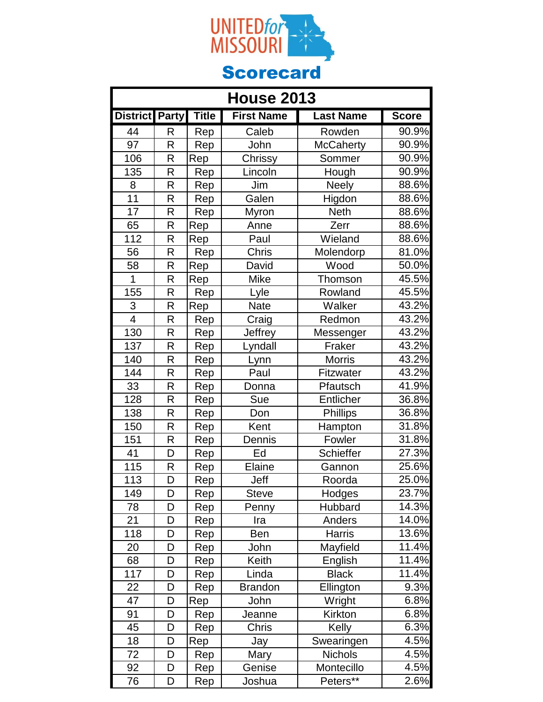

| <b>House 2013</b>     |   |              |                   |                  |                     |
|-----------------------|---|--------------|-------------------|------------------|---------------------|
| <b>District Party</b> |   | <b>Title</b> | <b>First Name</b> | <b>Last Name</b> | <b>Score</b>        |
| 44                    | R | Rep          | Caleb             | Rowden           | 90.9%               |
| 97                    | R | Rep          | John              | <b>McCaherty</b> | 90.9%               |
| 106                   | R | Rep          | Chrissy           | Sommer           | 90.9%               |
| 135                   | R | Rep          | Lincoln           | Hough            | 90.9%               |
| 8                     | R | Rep          | Jim               | <b>Neely</b>     | 88.6%               |
| 11                    | R | Rep          | Galen             | Higdon           | 88.6%               |
| $\overline{17}$       | R | Rep          | Myron             | <b>Neth</b>      | 88.6%               |
| 65                    | R | Rep          | Anne              | Zerr             | 88.6%               |
| 112                   | R | Rep          | Paul              | Wieland          | 88.6%               |
| 56                    | R | Rep          | Chris             | Molendorp        | 81.0%               |
| 58                    | R | Rep          | David             | Wood             | 50.0%               |
| $\overline{1}$        | R | Rep          | <b>Mike</b>       | Thomson          | 45.5%               |
| 155                   | R | Rep          | Lyle              | Rowland          | 45.5%               |
| 3                     | R | Rep          | <b>Nate</b>       | Walker           | 43.2%               |
| $\overline{4}$        | R | Rep          | Craig             | Redmon           | 43.2%               |
| 130                   | R | Rep          | Jeffrey           | Messenger        | 43.2%               |
| 137                   | R | Rep          | Lyndall           | Fraker           | 43.2%               |
| 140                   | R | Rep          | Lynn              | <b>Morris</b>    | $43.\overline{2\%}$ |
| 144                   | R | Rep          | Paul              | Fitzwater        | 43.2%               |
| 33                    | R | Rep          | Donna             | Pfautsch         | 41.9%               |
| 128                   | R | Rep          | Sue               | Entlicher        | 36.8%               |
| 138                   | R | Rep          | Don               | <b>Phillips</b>  | 36.8%               |
| 150                   | R | Rep          | Kent              | Hampton          | 31.8%               |
| 151                   | R | Rep          | Dennis            | Fowler           | 31.8%               |
| 41                    | D | Rep          | Ed                | Schieffer        | 27.3%               |
| 115                   | R | <u>Rep</u>   | Elaine            | Gannon           | 25.6%               |
| 113                   | D | Rep          | Jeff              | Roorda           | 25.0%               |
| 149                   | D | Rep          | <b>Steve</b>      | Hodges           | 23.7%               |
| 78                    | D | Rep          | Penny             | Hubbard          | 14.3%               |
| 21                    | D | Rep          | Ira               | Anders           | 14.0%               |
| 118                   | D | Rep          | Ben               | <b>Harris</b>    | 13.6%               |
| 20                    | D | Rep          | John              | Mayfield         | 11.4%               |
| 68                    | D | Rep          | Keith             | English          | 11.4%               |
| 117                   | D | Rep          | Linda             | <b>Black</b>     | 11.4%               |
| 22                    | D | Rep          | <b>Brandon</b>    | Ellington        | 9.3%                |
| 47                    | D | Rep          | John              | Wright           | 6.8%                |
| 91                    | D | Rep          | Jeanne            | Kirkton          | 6.8%                |
| 45                    | D | Rep          | Chris             | Kelly            | 6.3%                |
| 18                    | D | Rep          | Jay               | Swearingen       | 4.5%                |
| 72                    | D | Rep          | Mary              | <b>Nichols</b>   | 4.5%                |
| 92                    | D | Rep          | Genise            | Montecillo       | 4.5%                |
| 76                    | D | Rep          | Joshua            | Peters**         | 2.6%                |